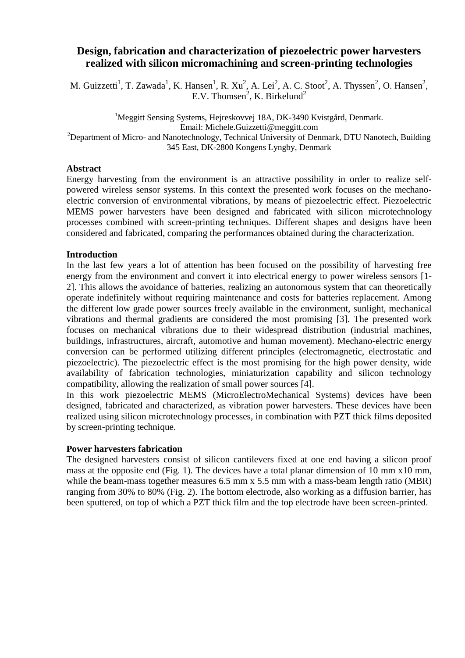# **Design, fabrication and characterization of piezoelectric power harvesters realized with silicon micromachining and screen-printing technologies**

M. Guizzetti<sup>1</sup>, T. Zawada<sup>1</sup>, K. Hansen<sup>1</sup>, R. Xu<sup>2</sup>, A. Lei<sup>2</sup>, A. C. Stoot<sup>2</sup>, A. Thyssen<sup>2</sup>, O. Hansen<sup>2</sup>, E.V. Thomsen<sup>2</sup>, K. Birkelund<sup>2</sup>

<sup>1</sup>Meggitt Sensing Systems, Hejreskovvej 18A, DK-3490 Kvistgård, Denmark. Email: Michele.Guizzetti@meggitt.com <sup>2</sup>Department of Micro- and Nanotechnology, Technical University of Denmark, DTU Nanotech, Building 345 East, DK-2800 Kongens Lyngby, Denmark

## **Abstract**

Energy harvesting from the environment is an attractive possibility in order to realize selfpowered wireless sensor systems. In this context the presented work focuses on the mechanoelectric conversion of environmental vibrations, by means of piezoelectric effect. Piezoelectric MEMS power harvesters have been designed and fabricated with silicon microtechnology processes combined with screen-printing techniques. Different shapes and designs have been considered and fabricated, comparing the performances obtained during the characterization.

### **Introduction**

In the last few years a lot of attention has been focused on the possibility of harvesting free energy from the environment and convert it into electrical energy to power wireless sensors [1- 2]. This allows the avoidance of batteries, realizing an autonomous system that can theoretically operate indefinitely without requiring maintenance and costs for batteries replacement. Among the different low grade power sources freely available in the environment, sunlight, mechanical vibrations and thermal gradients are considered the most promising [3]. The presented work focuses on mechanical vibrations due to their widespread distribution (industrial machines, buildings, infrastructures, aircraft, automotive and human movement). Mechano-electric energy conversion can be performed utilizing different principles (electromagnetic, electrostatic and piezoelectric). The piezoelectric effect is the most promising for the high power density, wide availability of fabrication technologies, miniaturization capability and silicon technology compatibility, allowing the realization of small power sources [4].

In this work piezoelectric MEMS (MicroElectroMechanical Systems) devices have been designed, fabricated and characterized, as vibration power harvesters. These devices have been realized using silicon microtechnology processes, in combination with PZT thick films deposited by screen-printing technique.

### **Power harvesters fabrication**

The designed harvesters consist of silicon cantilevers fixed at one end having a silicon proof mass at the opposite end (Fig. 1). The devices have a total planar dimension of 10 mm x10 mm, while the beam-mass together measures 6.5 mm x 5.5 mm with a mass-beam length ratio (MBR) ranging from 30% to 80% (Fig. 2). The bottom electrode, also working as a diffusion barrier, has been sputtered, on top of which a PZT thick film and the top electrode have been screen-printed.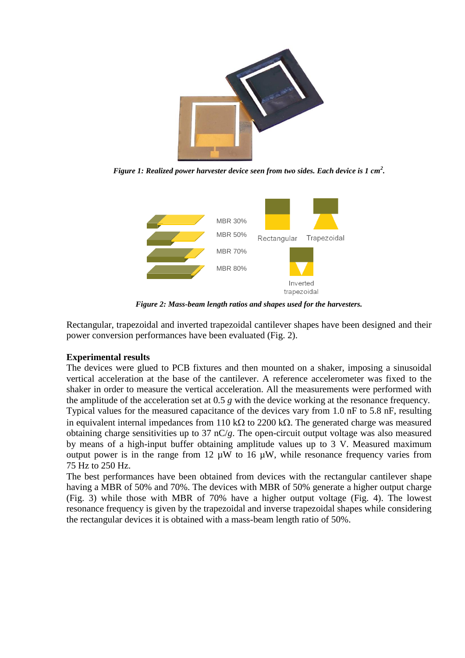

*Figure 1: Realized power harvester device seen from two sides. Each device is 1 cm<sup>2</sup> .*



*Figure 2: Mass-beam length ratios and shapes used for the harvesters.*

Rectangular, trapezoidal and inverted trapezoidal cantilever shapes have been designed and their power conversion performances have been evaluated (Fig. 2).

## **Experimental results**

The devices were glued to PCB fixtures and then mounted on a shaker, imposing a sinusoidal vertical acceleration at the base of the cantilever. A reference accelerometer was fixed to the shaker in order to measure the vertical acceleration. All the measurements were performed with the amplitude of the acceleration set at 0.5 *g* with the device working at the resonance frequency. Typical values for the measured capacitance of the devices vary from 1.0 nF to 5.8 nF, resulting in equivalent internal impedances from 110 k $\Omega$  to 2200 k $\Omega$ . The generated charge was measured obtaining charge sensitivities up to 37 nC/*g*. The open-circuit output voltage was also measured by means of a high-input buffer obtaining amplitude values up to 3 V. Measured maximum output power is in the range from 12  $\mu$ W to 16  $\mu$ W, while resonance frequency varies from 75 Hz to 250 Hz.

The best performances have been obtained from devices with the rectangular cantilever shape having a MBR of 50% and 70%. The devices with MBR of 50% generate a higher output charge (Fig. 3) while those with MBR of 70% have a higher output voltage (Fig. 4). The lowest resonance frequency is given by the trapezoidal and inverse trapezoidal shapes while considering the rectangular devices it is obtained with a mass-beam length ratio of 50%.